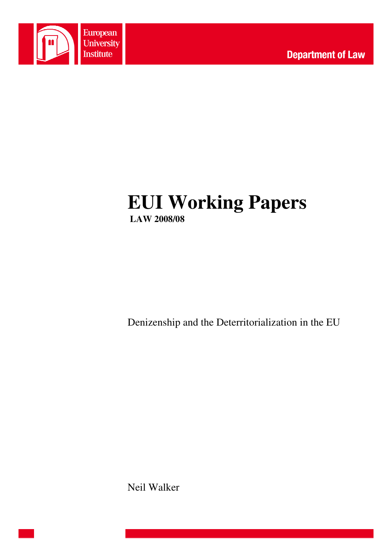

# **EUI Working Papers LAW 2008/08**

Denizenship and the Deterritorialization in the EU

Neil Walker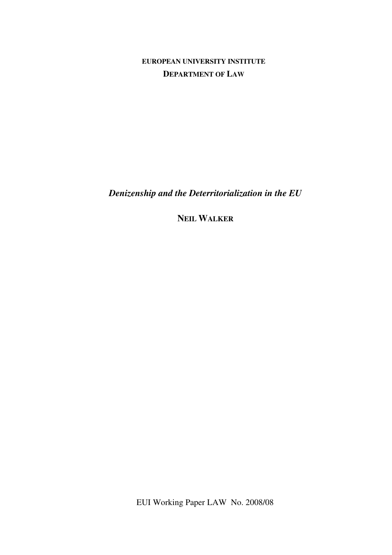**EUROPEAN UNIVERSITY INSTITUTE DEPARTMENT OF LAW**

*Denizenship and the Deterritorialization in the EU* 

**NEIL WALKER**

EUI Working Paper LAW No. 2008/08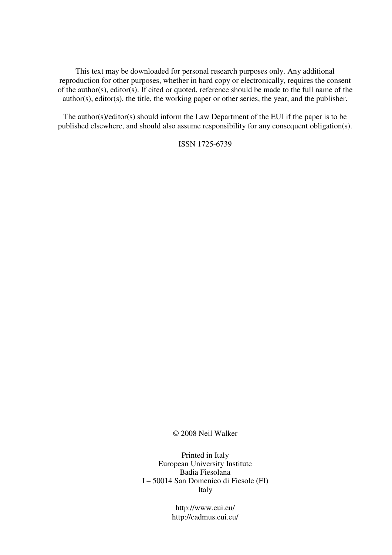This text may be downloaded for personal research purposes only. Any additional reproduction for other purposes, whether in hard copy or electronically, requires the consent of the author(s), editor(s). If cited or quoted, reference should be made to the full name of the author(s), editor(s), the title, the working paper or other series, the year, and the publisher.

The author(s)/editor(s) should inform the Law Department of the EUI if the paper is to be published elsewhere, and should also assume responsibility for any consequent obligation(s).

ISSN 1725-6739

#### © 2008 Neil Walker

Printed in Italy European University Institute Badia Fiesolana I – 50014 San Domenico di Fiesole (FI) Italy

> http://www.eui.eu/ http://cadmus.eui.eu/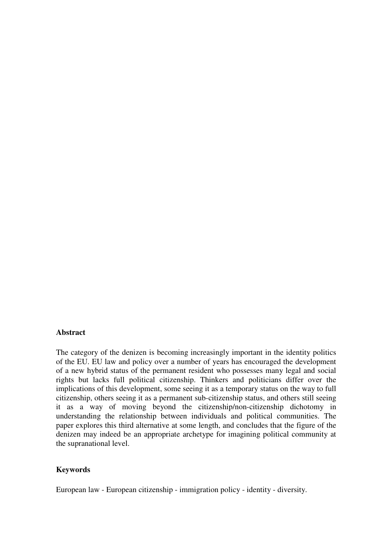## **Abstract**

The category of the denizen is becoming increasingly important in the identity politics of the EU. EU law and policy over a number of years has encouraged the development of a new hybrid status of the permanent resident who possesses many legal and social rights but lacks full political citizenship. Thinkers and politicians differ over the implications of this development, some seeing it as a temporary status on the way to full citizenship, others seeing it as a permanent sub-citizenship status, and others still seeing it as a way of moving beyond the citizenship/non-citizenship dichotomy in understanding the relationship between individuals and political communities. The paper explores this third alternative at some length, and concludes that the figure of the denizen may indeed be an appropriate archetype for imagining political community at the supranational level.

## **Keywords**

European law - European citizenship - immigration policy - identity - diversity.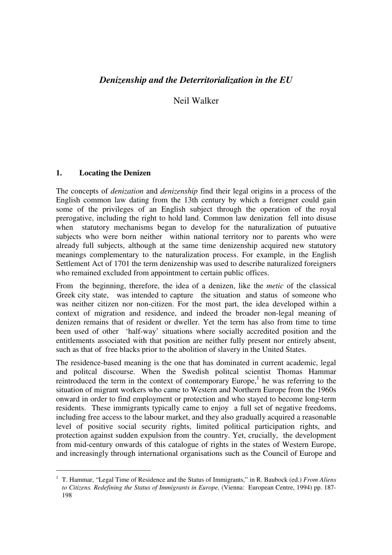## *Denizenship and the Deterritorialization in the EU*

Neil Walker

## **1. Locating the Denizen**

 $\overline{a}$ 

The concepts of *denization* and *denizenship* find their legal origins in a process of the English common law dating from the 13th century by which a foreigner could gain some of the privileges of an English subject through the operation of the royal prerogative, including the right to hold land. Common law denization fell into disuse when statutory mechanisms began to develop for the naturalization of putuative subjects who were born neither within national territory nor to parents who were already full subjects, although at the same time denizenship acquired new statutory meanings complementary to the naturalization process. For example, in the English Settlement Act of 1701 the term denizenship was used to describe naturalized foreigners who remained excluded from appointment to certain public offices.

From the beginning, therefore, the idea of a denizen, like the *metic* of the classical Greek city state, was intended to capture the situation and status of someone who was neither citizen nor non-citizen. For the most part, the idea developed within a context of migration and residence, and indeed the broader non-legal meaning of denizen remains that of resident or dweller. Yet the term has also from time to time been used of other 'half-way' situations where socially accredited position and the entitlements associated with that position are neither fully present nor entirely absent, such as that of free blacks prior to the abolition of slavery in the United States.

The residence-based meaning is the one that has dominated in current academic, legal and politcal discourse. When the Swedish politcal scientist Thomas Hammar reintroduced the term in the context of contemporary Europe,<sup>1</sup> he was referring to the situation of migrant workers who came to Western and Northern Europe from the 1960s onward in order to find employment or protection and who stayed to become long-term residents. These immigrants typically came to enjoy a full set of negative freedoms, including free access to the labour market, and they also gradually acquired a reasonable level of positive social security rights, limited political participation rights, and protection against sudden expulsion from the country. Yet, crucially, the development from mid-century onwards of this catalogue of rights in the states of Western Europe, and increasingly through international organisations such as the Council of Europe and

<sup>&</sup>lt;sup>1</sup> T. Hammar, "Legal Time of Residence and the Status of Immigrants," in R. Baubock (ed.) *From Aliens to Citizens. Redefining the Status of Immigrants in Europe,* (Vienna: European Centre, 1994) pp. 187- 198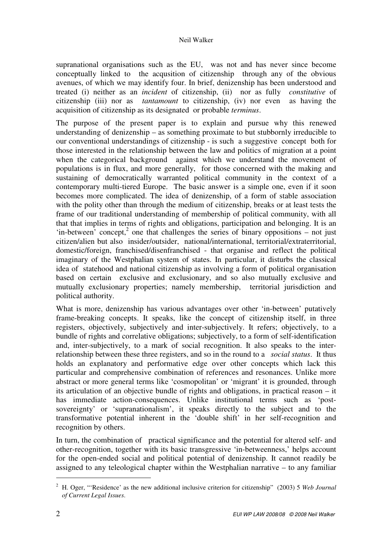supranational organisations such as the EU, was not and has never since become conceptually linked to the acqusition of citizenship through any of the obvious avenues, of which we may identify four. In brief, denizenship has been understood and treated (i) neither as an *incident* of citizenship, (ii) nor as fully *constitutive* of citizenship (iii) nor as *tantamount* to citizenship, (iv) nor even as having the acquisition of citizenship as its designated or probable *terminus*.

The purpose of the present paper is to explain and pursue why this renewed understanding of denizenship – as something proximate to but stubbornly irreducible to our conventional understandings of citizenship - is such a suggestive concept both for those interested in the relationship between the law and politics of migration at a point when the categorical background against which we understand the movement of populations is in flux, and more generally, for those concerned with the making and sustaining of democratically warranted political community in the context of a contemporary multi-tiered Europe. The basic answer is a simple one, even if it soon becomes more complicated. The idea of denizenship, of a form of stable association with the polity other than through the medium of citizenship, breaks or at least tests the frame of our traditional understanding of membership of political community, with all that that implies in terms of rights and obligations, participation and belonging. It is an 'in-between' concept,<sup>2</sup> one that challenges the series of binary oppositions  $-$  not just citizen/alien but also insider/outsider, national/international, territorial/extraterritorial, domestic/foreign, franchised/disenfranchised - that organise and reflect the political imaginary of the Westphalian system of states. In particular, it disturbs the classical idea of statehood and national citizenship as involving a form of political organisation based on certain exclusive and exclusionary, and so also mutually exclusive and mutually exclusionary properties; namely membership, territorial jurisdiction and political authority.

What is more, denizenship has various advantages over other 'in-between' putatively frame-breaking concepts. It speaks, like the concept of citizenship itself, in three registers, objectively, subjectively and inter-subjectively. It refers; objectively, to a bundle of rights and correlative obligations; subjectively, to a form of self-identification and, inter-subjectively, to a mark of social recognition. It also speaks to the interrelationship between these three registers, and so in the round to a *social status*. It thus holds an explanatory and performative edge over other concepts which lack this particular and comprehensive combination of references and resonances. Unlike more abstract or more general terms like 'cosmopolitan' or 'migrant' it is grounded, through its articulation of an objective bundle of rights and obligations, in practical reason – it has immediate action-consequences. Unlike institutional terms such as 'postsovereignty' or 'supranationalism', it speaks directly to the subject and to the transformative potential inherent in the 'double shift' in her self-recognition and recognition by others.

In turn, the combination of practical significance and the potential for altered self- and other-recognition, together with its basic transgressive 'in-betweenness,' helps account for the open-ended social and political potential of denizenship. It cannot readily be assigned to any teleological chapter within the Westphalian narrative – to any familiar

<sup>&</sup>lt;sup>2</sup> H. Oger, "'Residence' as the new additional inclusive criterion for citizenship" (2003) 5 *Web Journal of Current Legal Issues*.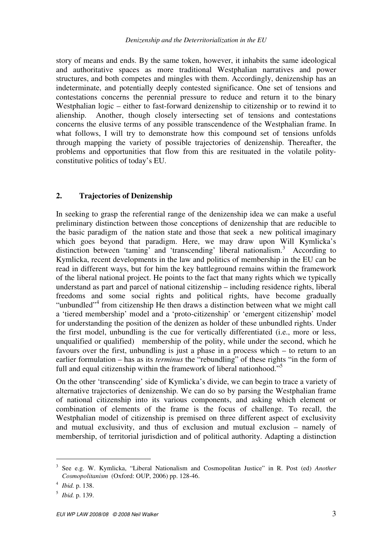story of means and ends. By the same token, however, it inhabits the same ideological and authoritative spaces as more traditional Westphalian narratives and power structures, and both competes and mingles with them. Accordingly, denizenship has an indeterminate, and potentially deeply contested significance. One set of tensions and contestations concerns the perennial pressure to reduce and return it to the binary Westphalian logic – either to fast-forward denizenship to citizenship or to rewind it to alienship. Another, though closely intersecting set of tensions and contestations concerns the elusive terms of any possible transcendence of the Westphalian frame. In what follows, I will try to demonstrate how this compound set of tensions unfolds through mapping the variety of possible trajectories of denizenship. Thereafter, the problems and opportunities that flow from this are resituated in the volatile polityconstitutive politics of today's EU.

## **2. Trajectories of Denizenship**

In seeking to grasp the referential range of the denizenship idea we can make a useful preliminary distinction between those conceptions of denizenship that are reducible to the basic paradigm of the nation state and those that seek a new political imaginary which goes beyond that paradigm. Here, we may draw upon Will Kymlicka's distinction between 'taming' and 'transcending' liberal nationalism. 3 According to Kymlicka, recent developments in the law and politics of membership in the EU can be read in different ways, but for him the key battleground remains within the framework of the liberal national project. He points to the fact that many rights which we typically understand as part and parcel of national citizenship – including residence rights, liberal freedoms and some social rights and political rights, have become gradually "unbundled"<sup>4</sup> from citizenship He then draws a distinction between what we might call a 'tiered membership' model and a 'proto-citizenship' or 'emergent citizenship' model for understanding the position of the denizen as holder of these unbundled rights. Under the first model, unbundling is the cue for vertically differentiated (i.e., more or less, unqualified or qualified) membership of the polity, while under the second, which he favours over the first, unbundling is just a phase in a process which – to return to an earlier formulation – has as its *terminus* the "rebundling" of these rights "in the form of full and equal citizenship within the framework of liberal nationhood."<sup>5</sup>

On the other 'transcending' side of Kymlicka's divide, we can begin to trace a variety of alternative trajectories of denizenship. We can do so by parsing the Westphalian frame of national citizenship into its various components, and asking which element or combination of elements of the frame is the focus of challenge. To recall, the Westphalian model of citizenship is premised on three different aspect of exclusivity and mutual exclusivity, and thus of exclusion and mutual exclusion – namely of membership, of territorial jurisdiction and of political authority. Adapting a distinction

<sup>3</sup> See e.g. W. Kymlicka, "Liberal Nationalism and Cosmopolitan Justice" in R. Post (ed) *Another Cosmopolitanism* (Oxford: OUP, 2006) pp. 128-46.

<sup>4</sup>  *Ibid.* p. 138.

<sup>5</sup>  *Ibid.* p. 139.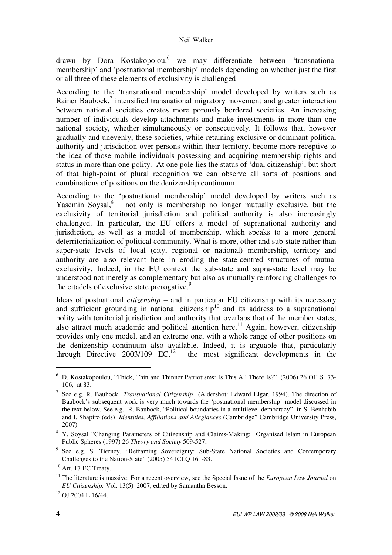drawn by Dora Kostakopolou,<sup>6</sup> we may differentiate between 'transnational membership' and 'postnational membership' models depending on whether just the first or all three of these elements of exclusivity is challenged

According to the 'transnational membership' model developed by writers such as Rainer Baubock,<sup>7</sup> intensified transnational migratory movement and greater interaction between national societies creates more porously bordered societies. An increasing number of individuals develop attachments and make investments in more than one national society, whether simultaneously or consecutively. It follows that, however gradually and unevenly, these societies, while retaining exclusive or dominant political authority and jurisdiction over persons within their territory, become more receptive to the idea of those mobile individuals possessing and acquiring membership rights and status in more than one polity. At one pole lies the status of 'dual citizenship', but short of that high-point of plural recognition we can observe all sorts of positions and combinations of positions on the denizenship continuum.

According to the 'postnational membership' model developed by writers such as Yasemin Soysal,<sup>8</sup> not only is membership no longer mutually exclusive, but the exclusivity of territorial jurisdiction and political authority is also increasingly challenged. In particular, the EU offers a model of supranational authority and jurisdiction, as well as a model of membership, which speaks to a more general deterritorialization of political community. What is more, other and sub-state rather than super-state levels of local (city, regional or national) membership, territory and authority are also relevant here in eroding the state-centred structures of mutual exclusivity. Indeed, in the EU context the sub-state and supra-state level may be understood not merely as complementary but also as mutually reinforcing challenges to the citadels of exclusive state prerogative.<sup>9</sup>

Ideas of postnational *citizenship* – and in particular EU citizenship with its necessary and sufficient grounding in national citizenship<sup>10</sup> and its address to a supranational polity with territorial jurisdiction and authority that overlaps that of the member states, also attract much academic and political attention here.<sup>11</sup> Again, however, citizenship provides only one model, and an extreme one, with a whole range of other positions on the denizenship continuum also available. Indeed, it is arguable that, particularly through Directive  $2003/109$  EC,<sup>12</sup> the most significant developments in the

<sup>6</sup> D. Kostakopoulou, "Thick, Thin and Thinner Patriotisms: Is This All There Is?" (2006) 26 OJLS 73- 106, at 83.

<sup>7</sup> See e.g. R. Baubock *Transnational Citizenship* (Aldershot: Edward Elgar, 1994). The direction of Baubock's subsequent work is very much towards the 'postnational membership' model discussed in the text below. See e.g. R. Baubock, "Political boundaries in a multilevel democracy" in S. Benhabib and I. Shapiro (eds) *Identities, Affiliations and Allegiances* (Cambridge" Cambridge University Press, 2007)

<sup>&</sup>lt;sup>8</sup> Y. Soysal "Changing Parameters of Citizenship and Claims-Making: Organised Islam in European Public Spheres (1997) 26 *Theory and Society* 509-527;

<sup>&</sup>lt;sup>9</sup> See e.g. S. Tierney, "Reframing Sovereignty: Sub-State National Societies and Contemporary Challenges to the Nation-State" (2005) 54 ICLQ 161-83.

 $10$  Art. 17 EC Treaty.

<sup>&</sup>lt;sup>11</sup> The literature is massive. For a recent overview, see the Special Issue of the *European Law Journal* on *EU Citizenship;* Vol. 13(5) 2007, edited by Samantha Besson.

<sup>&</sup>lt;sup>12</sup> OJ 2004 L 16/44.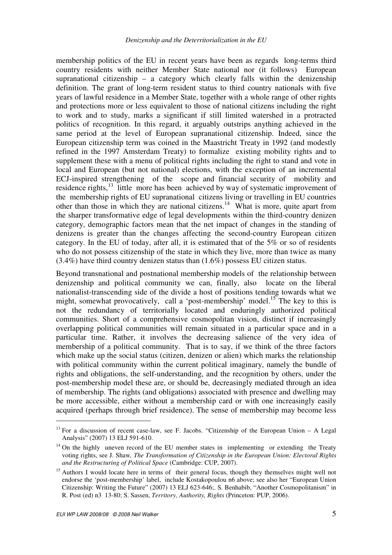membership politics of the EU in recent years have been as regards long-terms third country residents with neither Member State national nor (it follows) European supranational citizenship – a category which clearly falls within the denizenship definition. The grant of long-term resident status to third country nationals with five years of lawful residence in a Member State, together with a whole range of other rights and protections more or less equivalent to those of national citizens including the right to work and to study, marks a significant if still limited watershed in a protracted politics of recognition. In this regard, it arguably outstrips anything achieved in the same period at the level of European supranational citizenship. Indeed, since the European citizenship term was coined in the Maastricht Treaty in 1992 (and modestly refined in the 1997 Amsterdam Treaty) to formalize existing mobility rights and to supplement these with a menu of political rights including the right to stand and vote in local and European (but not national) elections, with the exception of an incremental ECJ-inspired strengthening of the scope and financial security of mobility and residence rights,<sup>13</sup> little more has been achieved by way of systematic improvement of the membership rights of EU supranational citizens living or travelling in EU countries other than those in which they are national citizens.<sup>14</sup> What is more, quite apart from the sharper transformative edge of legal developments within the third-country denizen category, demographic factors mean that the net impact of changes in the standing of denizens is greater than the changes affecting the second-country European citizen category. In the EU of today, after all, it is estimated that of the 5% or so of residents who do not possess citizenship of the state in which they live, more than twice as many  $(3.4\%)$  have third country denizen status than  $(1.6\%)$  possess EU citizen status.

Beyond transnational and postnational membership models of the relationship between denizenship and political community we can, finally, also locate on the liberal nationalist-transcending side of the divide a host of positions tending towards what we might, somewhat provocatively, call a 'post-membership' model.<sup>15</sup> The key to this is not the redundancy of territorially located and enduringly authorized political communities. Short of a comprehensive cosmopolitan vision, distinct if increasingly overlapping political communities will remain situated in a particular space and in a particular time. Rather, it involves the decreasing salience of the very idea of membership of a political community. That is to say, if we think of the three factors which make up the social status (citizen, denizen or alien) which marks the relationship with political community within the current political imaginary, namely the bundle of rights and obligations, the self-understanding, and the recognition by others, under the post-membership model these are, or should be, decreasingly mediated through an idea of membership. The rights (and obligations) associated with presence and dwelling may be more accessible, either without a membership card or with one increasingly easily acquired (perhaps through brief residence). The sense of membership may become less

 $13$  For a discussion of recent case-law, see F. Jacobs. "Citizenship of the European Union – A Legal Analysis" (2007) 13 ELJ 591-610.

 $14$  On the highly uneven record of the EU member states in implementing or extending the Treaty voting rights, see J. Shaw*, The Transformation of Citizenship in the European Union: Electoral Rights and the Restructuring of Political Space* (Cambridge: CUP, 2007).

<sup>&</sup>lt;sup>15</sup> Authors I would locate here in terms of their general focus, though they themselves might well not endorse the 'post-membership' label, include Kostakopoulou n6 above; see also her "European Union Citizenship: Writing the Future" (2007) 13 ELJ 623-646;. S. Benhabib, "Another Cosmopolitanism" in R. Post (ed) n3 13-80; S. Sassen, *Territory, Authority, Rights* (Princeton: PUP, 2006).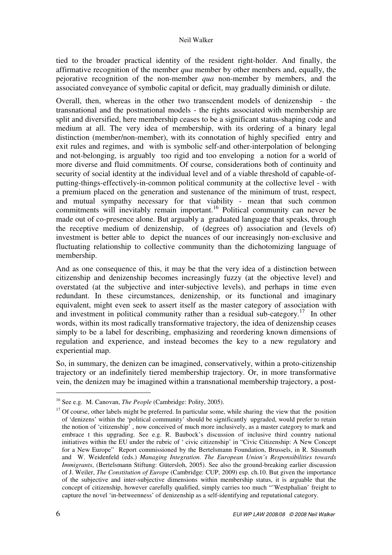tied to the broader practical identity of the resident right-holder. And finally, the affirmative recognition of the member *qua* member by other members and, equally, the pejorative recognition of the non-member *qua* non-member by members, and the associated conveyance of symbolic capital or deficit, may gradually diminish or dilute.

Overall, then, whereas in the other two transcendent models of denizenship - the transnational and the postnational models - the rights associated with membership are split and diversified, here membership ceases to be a significant status-shaping code and medium at all. The very idea of membership, with its ordering of a binary legal distinction (member/non-member), with its connotation of highly specified entry and exit rules and regimes, and with is symbolic self-and other-interpolation of belonging and not-belonging, is arguably too rigid and too enveloping a notion for a world of more diverse and fluid commitments. Of course, considerations both of continuity and security of social identity at the individual level and of a viable threshold of capable-ofputting-things-effectively-in-common political community at the collective level - with a premium placed on the generation and sustenance of the minimum of trust, respect, and mutual sympathy necessary for that viability - mean that such common commitments will inevitably remain important.<sup>16</sup> Political community can never be made out of co-presence alone. But arguably a graduated language that speaks, through the receptive medium of denizenship, of (degrees of) association and (levels of) investment is better able to depict the nuances of our increasingly non-exclusive and fluctuating relationship to collective community than the dichotomizing language of membership.

And as one consequence of this, it may be that the very idea of a distinction between citizenship and denizenship becomes increasingly fuzzy (at the objective level) and overstated (at the subjective and inter-subjective levels), and perhaps in time even redundant. In these circumstances, denizenship, or its functional and imaginary equivalent, might even seek to assert itself as the master category of association with and investment in political community rather than a residual sub-category.<sup>17</sup> In other words, within its most radically transformative trajectory, the idea of denizenship ceases simply to be a label for describing, emphasizing and reordering known dimensions of regulation and experience, and instead becomes the key to a new regulatory and experiential map.

So, in summary, the denizen can be imagined, conservatively, within a proto-citizenship trajectory or an indefinitely tiered membership trajectory. Or, in more transformative vein, the denizen may be imagined within a transnational membership trajectory, a post-

<sup>16</sup> See e.g. M. Canovan, *The People* (Cambridge: Polity, 2005).

 $17$  Of course, other labels might be preferred. In particular some, while sharing the view that the position of 'denizens' within the 'political community' should be significantly upgraded, would prefer to retain the notion of 'citizenship' , now conceived of much more inclusively, as a master category to mark and embrace t this upgrading. See e.g. R. Baubock's discussion of inclusive third country national initiatives within the EU under the rubric of ' civic citizenship' in "Civic Citizenship: A New Concept for a New Europe" Report commissioned by the Bertelsmann Foundation, Brussels, in R. Süssmuth and W. Weidenfeld (eds.) *Managing Integration. The European Union's Responsibilities towards Immigrants*, (Bertelsmann Stiftung: Gütersloh, 2005). See also the ground-breaking earlier discussion of J. Weiler, *The Constitution of Europe* (Cambridge: CUP, 2009) esp. ch.10. But given the importance of the subjective and inter-subjective dimensions within membership status, it is arguable that the concept of citizenship, however carefully qualified, simply carries too much "'Westphalian' freight to capture the novel 'in-betweenness' of denizenship as a self-identifying and reputational category.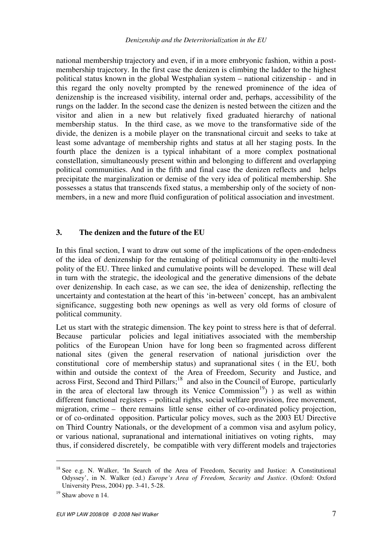national membership trajectory and even, if in a more embryonic fashion, within a postmembership trajectory. In the first case the denizen is climbing the ladder to the highest political status known in the global Westphalian system – national citizenship - and in this regard the only novelty prompted by the renewed prominence of the idea of denizenship is the increased visibility, internal order and, perhaps, accessibility of the rungs on the ladder. In the second case the denizen is nested between the citizen and the visitor and alien in a new but relatively fixed graduated hierarchy of national membership status. In the third case, as we move to the transformative side of the divide, the denizen is a mobile player on the transnational circuit and seeks to take at least some advantage of membership rights and status at all her staging posts. In the fourth place the denizen is a typical inhabitant of a more complex postnational constellation, simultaneously present within and belonging to different and overlapping political communities. And in the fifth and final case the denizen reflects and helps precipitate the marginalization or demise of the very idea of political membership. She possesses a status that transcends fixed status, a membership only of the society of nonmembers, in a new and more fluid configuration of political association and investment.

## **3. The denizen and the future of the EU**

In this final section, I want to draw out some of the implications of the open-endedness of the idea of denizenship for the remaking of political community in the multi-level polity of the EU. Three linked and cumulative points will be developed. These will deal in turn with the strategic, the ideological and the generative dimensions of the debate over denizenship. In each case, as we can see, the idea of denizenship, reflecting the uncertainty and contestation at the heart of this 'in-between' concept, has an ambivalent significance, suggesting both new openings as well as very old forms of closure of political community.

Let us start with the strategic dimension. The key point to stress here is that of deferral. Because particular policies and legal initiatives associated with the membership politics of the European Union have for long been so fragmented across different national sites (given the general reservation of national jurisdiction over the constitutional core of membership status) and supranational sites ( in the EU, both within and outside the context of the Area of Freedom, Security and Justice, and across First, Second and Third Pillars; $18$  and also in the Council of Europe, particularly in the area of electoral law through its Venice Commission<sup>19</sup>) as well as within different functional registers – political rights, social welfare provision, free movement, migration, crime – there remains little sense either of co-ordinated policy projection, or of co-ordinated opposition. Particular policy moves, such as the 2003 EU Directive on Third Country Nationals, or the development of a common visa and asylum policy, or various national, supranational and international initiatives on voting rights, may thus, if considered discretely, be compatible with very different models and trajectories

<sup>&</sup>lt;sup>18</sup> See e.g. N. Walker, 'In Search of the Area of Freedom, Security and Justice: A Constitutional Odyssey', in N. Walker (ed.) *Europe's Area of Freedom, Security and Justice*. (Oxford: Oxford University Press, 2004) pp. 3-41, 5-28.

 $19$  Shaw above n 14.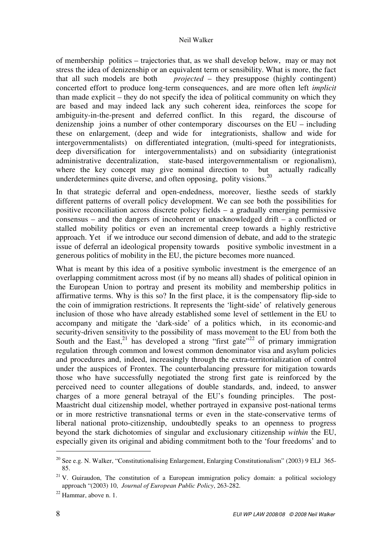of membership politics – trajectories that, as we shall develop below, may or may not stress the idea of denizenship or an equivalent term or sensibility. What is more, the fact that all such models are both *projected* – they presuppose (highly contingent) concerted effort to produce long-term consequences, and are more often left *implicit*  than made explicit – they do not specify the idea of political community on which they are based and may indeed lack any such coherent idea, reinforces the scope for ambiguity-in-the-present and deferred conflict. In this regard, the discourse of denizenship joins a number of other contemporary discourses on the EU – including these on enlargement, (deep and wide for integrationists, shallow and wide for intergovernmentalists) on differentiated integration, (multi-speed for integrationists, deep diversification for intergovernmentalists) and on subsidiarity (integrationist administrative decentralization, state-based intergovernmentalism or regionalism), where the key concept may give nominal direction to but actually radically underdetermines quite diverse, and often opposing, polity visions. $^{20}$ 

In that strategic deferral and open-endedness, moreover, liesthe seeds of starkly different patterns of overall policy development. We can see both the possibilities for positive reconciliation across discrete policy fields – a gradually emerging permissive consensus – and the dangers of incoherent or unacknowledged drift – a conflicted or stalled mobility politics or even an incremental creep towards a highly restrictive approach. Yet if we introduce our second dimension of debate, and add to the strategic issue of deferral an ideological propensity towards positive symbolic investment in a generous politics of mobility in the EU, the picture becomes more nuanced.

What is meant by this idea of a positive symbolic investment is the emergence of an overlapping commitment across most (if by no means all) shades of political opinion in the European Union to portray and present its mobility and membership politics in affirmative terms. Why is this so? In the first place, it is the compensatory flip-side to the coin of immigration restrictions. It represents the 'light-side' of relatively generous inclusion of those who have already established some level of settlement in the EU to accompany and mitigate the 'dark-side' of a politics which, in its economic-and security-driven sensitivity to the possibility of mass movement to the EU from both the South and the East,  $21$  has developed a strong "first gate"<sup>22</sup> of primary immigration regulation through common and lowest common denominator visa and asylum policies and procedures and, indeed, increasingly through the extra-territorialization of control under the auspices of Frontex. The counterbalancing pressure for mitigation towards those who have successfully negotiated the strong first gate is reinforced by the perceived need to counter allegations of double standards, and, indeed, to answer charges of a more general betrayal of the EU's founding principles. The post-Maastricht dual citizenship model, whether portrayed in expansive post-national terms or in more restrictive transnational terms or even in the state-conservative terms of liberal national proto-citizenship, undoubtedly speaks to an openness to progress beyond the stark dichotomies of singular and exclusionary citizenship *within* the EU, especially given its original and abiding commitment both to the 'four freedoms' and to

<sup>&</sup>lt;sup>20</sup> See e.g. N. Walker, "Constitutionalising Enlargement, Enlarging Constitutionalism" (2003) 9 ELJ 365-85.

 $21$  V. Guiraudon. The constitution of a European immigration policy domain: a political sociology approach "(2003) 10, *Journal of European Public Policy*, 263-282.

 $22$  Hammar, above n. 1.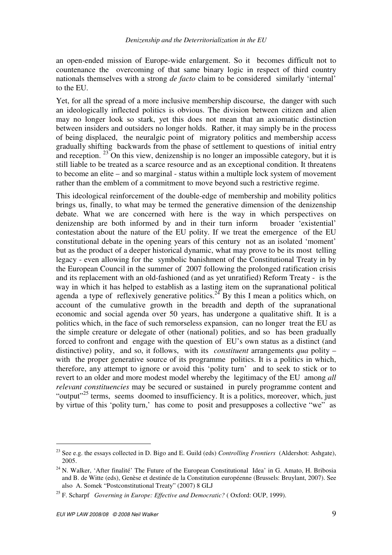an open-ended mission of Europe-wide enlargement. So it becomes difficult not to countenance the overcoming of that same binary logic in respect of third country nationals themselves with a strong *de facto* claim to be considered similarly 'internal' to the EU.

Yet, for all the spread of a more inclusive membership discourse, the danger with such an ideologically inflected politics is obvious. The division between citizen and alien may no longer look so stark, yet this does not mean that an axiomatic distinction between insiders and outsiders no longer holds. Rather, it may simply be in the process of being displaced, the neuralgic point of migratory politics and membership access gradually shifting backwards from the phase of settlement to questions of initial entry and reception.  $^{23}$  On this view, denizenship is no longer an impossible category, but it is still liable to be treated as a scarce resource and as an exceptional condition. It threatens to become an elite – and so marginal - status within a multiple lock system of movement rather than the emblem of a commitment to move beyond such a restrictive regime.

This ideological reinforcement of the double-edge of membership and mobility politics brings us, finally, to what may be termed the generative dimension of the denizenship debate. What we are concerned with here is the way in which perspectives on denizenship are both informed by and in their turn inform broader 'existential' contestation about the nature of the EU polity. If we treat the emergence of the EU constitutional debate in the opening years of this century not as an isolated 'moment' but as the product of a deeper historical dynamic, what may prove to be its most telling legacy - even allowing for the symbolic banishment of the Constitutional Treaty in by the European Council in the summer of 2007 following the prolonged ratification crisis and its replacement with an old-fashioned (and as yet unratified) Reform Treaty - is the way in which it has helped to establish as a lasting item on the supranational political agenda a type of reflexively generative politics.<sup>24</sup> By this I mean a politics which, on account of the cumulative growth in the breadth and depth of the supranational economic and social agenda over 50 years, has undergone a qualitative shift. It is a politics which, in the face of such remorseless expansion, can no longer treat the EU as the simple creature or delegate of other (national) polities, and so has been gradually forced to confront and engage with the question of EU's own status as a distinct (and distinctive) polity, and so, it follows, with its *constituent* arrangements *qua* polity – with the proper generative source of its programme politics. It is a politics in which, therefore, any attempt to ignore or avoid this 'polity turn' and to seek to stick or to revert to an older and more modest model whereby the legitimacy of the EU among *all relevant constituencies* may be secured or sustained in purely programme content and "output"<sup>25</sup> terms, seems doomed to insufficiency. It is a politics, moreover, which, just by virtue of this 'polity turn,' has come to posit and presupposes a collective "we" as

<sup>23</sup> See e.g. the essays collected in D. Bigo and E. Guild (eds) *Controlling Frontiers* (Aldershot: Ashgate), 2005.

 $^{24}$  N. Walker, 'After finalité' The Future of the European Constitutional Idea' in G. Amato, H. Bribosia and B. de Witte (eds), Genèse et destinée de la Constitution européenne (Brussels: Bruylant, 2007). See also A. Somek "Postconstitutional Treaty" (2007) 8 GLJ

<sup>25</sup> F. Scharpf *Governing in Europe: Effective and Democratic?* ( Oxford: OUP, 1999).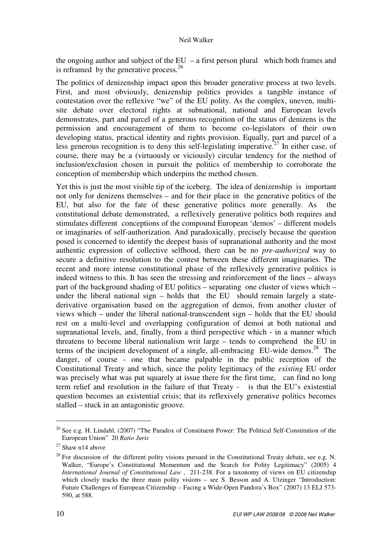the ongoing author and subject of the  $EU - a$  first person plural which both frames and is reframed by the generative process.<sup>26</sup>

The politics of denizenship impact upon this broader generative process at two levels. First, and most obviously, denizenship politics provides a tangible instance of contestation over the reflexive "we" of the EU polity. As the complex, uneven, multisite debate over electoral rights at subnational, national and European levels demonstrates, part and parcel of a generous recognition of the status of denizens is the permission and encouragement of them to become co-legislators of their own developing status, practical identity and rights provision. Equally, part and parcel of a less generous recognition is to deny this self-legislating imperative.<sup>27</sup> In either case, of course, there may be a (virtuously or viciously) circular tendency for the method of inclusion/exclusion chosen in pursuit the politics of membership to corroborate the conception of membership which underpins the method chosen.

Yet this is just the most visible tip of the iceberg. The idea of denizenship is important not only for denizens themselves – and for their place in the generative politics of the EU, but also for the fate of these generative politics more generally. As the constitutional debate demonstrated, a reflexively generative politics both requires and stimulates different conceptions of the compound European 'demos' – different models or imaginaries of self-authorization. And paradoxically, precisely because the question posed is concerned to identify the deepest basis of supranational authority and the most authentic expression of collective selfhood, there can be no *pre-authorized* way to secure a definitive resolution to the contest between these different imaginaries. The recent and more intense constitutional phase of the reflexively generative politics is indeed witness to this. It has seen the stressing and reinforcement of the lines – always part of the background shading of EU politics – separating one cluster of views which – under the liberal national sign – holds that the EU should remain largely a statederivative organisation based on the aggregation of demoi, from another cluster of views which – under the liberal national-transcendent sign – holds that the EU should rest on a multi-level and overlapping configuration of demoi at both national and supranational levels, and, finally, from a third perspective which - in a manner which threatens to become liberal nationalism writ large – tends to comprehend the EU in terms of the incipient development of a single, all-embracing  $EU$ -wide demos.<sup>28</sup> The danger, of course - one that became palpable in the public reception of the Constitutional Treaty and which, since the polity legitimacy of the *existing* EU order was precisely what was put squarely at issue there for the first time, can find no long term relief and resolution in the failure of that Treaty - is that the EU's existential question becomes an existential crisis; that its reflexively generative politics becomes stalled – stuck in an antagonistic groove.

<sup>&</sup>lt;sup>26</sup> See e.g. H. Lindahl, (2007) "The Paradox of Constituent Power: The Political Self-Constitution of the European Union" 20 *Ratio Juris* 

 $27$  Shaw n14 above

 $^{28}$  For discussion of the different polity visions pursued in the Constitutional Treaty debate, see e.g. N. Walker, "Europe's Constitutional Momentum and the Search for Polity Legitimacy" (2005) 4 *International Journal of Constitutional Law* , 211-238. For a taxonomy of views on EU citizenship which closely tracks the three main polity visions – see S. Besson and A. Utzinger "Introduction: Future Challenges of European Citizenship – Facing a Wide-Open Pandora's Box" (2007) 13 ELJ 573- 590, at 588.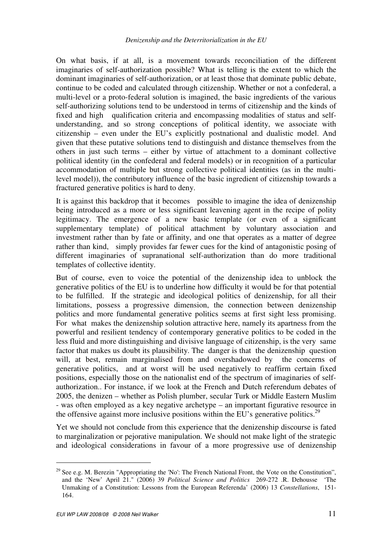On what basis, if at all, is a movement towards reconciliation of the different imaginaries of self-authorization possible? What is telling is the extent to which the dominant imaginaries of self-authorization, or at least those that dominate public debate, continue to be coded and calculated through citizenship. Whether or not a confederal, a multi-level or a proto-federal solution is imagined, the basic ingredients of the various self-authorizing solutions tend to be understood in terms of citizenship and the kinds of fixed and high qualification criteria and encompassing modalities of status and selfunderstanding, and so strong conceptions of political identity, we associate with citizenship – even under the EU's explicitly postnational and dualistic model. And given that these putative solutions tend to distinguish and distance themselves from the others in just such terms – either by virtue of attachment to a dominant collective political identity (in the confederal and federal models) or in recognition of a particular accommodation of multiple but strong collective political identities (as in the multilevel model)), the contributory influence of the basic ingredient of citizenship towards a fractured generative politics is hard to deny.

It is against this backdrop that it becomes possible to imagine the idea of denizenship being introduced as a more or less significant leavening agent in the recipe of polity legitimacy. The emergence of a new basic template (or even of a significant supplementary template) of political attachment by voluntary association and investment rather than by fate or affinity, and one that operates as a matter of degree rather than kind, simply provides far fewer cues for the kind of antagonistic posing of different imaginaries of supranational self-authorization than do more traditional templates of collective identity.

But of course, even to voice the potential of the denizenship idea to unblock the generative politics of the EU is to underline how difficulty it would be for that potential to be fulfilled. If the strategic and ideological politics of denizenship, for all their limitations, possess a progressive dimension, the connection between denizenship politics and more fundamental generative politics seems at first sight less promising. For what makes the denizenship solution attractive here, namely its apartness from the powerful and resilient tendency of contemporary generative politics to be coded in the less fluid and more distinguishing and divisive language of citizenship, is the very same factor that makes us doubt its plausibility. The danger is that the denizenship question will, at best, remain marginalised from and overshadowed by the concerns of generative politics, and at worst will be used negatively to reaffirm certain fixed positions, especially those on the nationalist end of the spectrum of imaginaries of selfauthorization.. For instance, if we look at the French and Dutch referendum debates of 2005, the denizen – whether as Polish plumber, secular Turk or Middle Eastern Muslim - was often employed as a key negative archetype – an important figurative resource in the offensive against more inclusive positions within the EU's generative politics.<sup>29</sup>

Yet we should not conclude from this experience that the denizenship discourse is fated to marginalization or pejorative manipulation. We should not make light of the strategic and ideological considerations in favour of a more progressive use of denizenship

<sup>&</sup>lt;sup>29</sup> See e.g. M. Berezin "Appropriating the 'No': The French National Front, the Vote on the Constitution", and the 'New' April 21." (2006) 39 *Political Science and Politics* 269-272 .R. Dehousse 'The Unmaking of a Constitution: Lessons from the European Referenda' (2006) 13 *Constellations*, 151- 164.